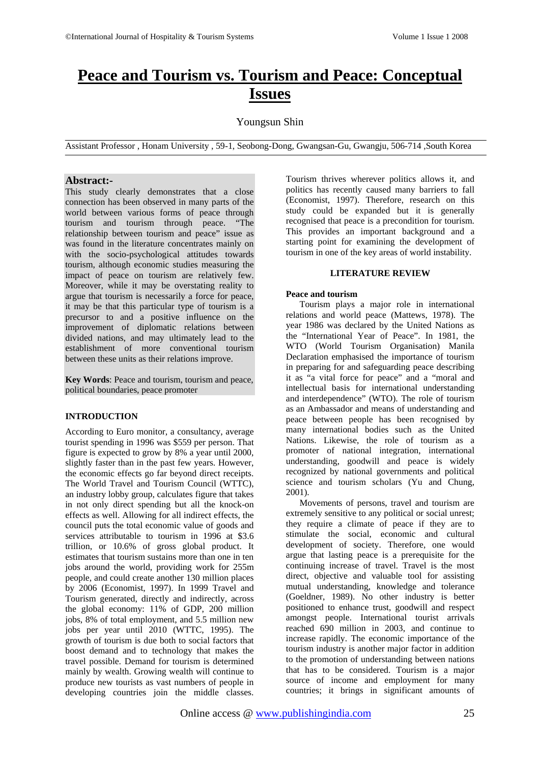# **Peace and Tourism vs. Tourism and Peace: Conceptual Issues**

## Youngsun Shin

Assistant Professor , Honam University , 59-1, Seobong-Dong, Gwangsan-Gu, Gwangju, 506-714 ,South Korea

## **Abstract:-**

This study clearly demonstrates that a close connection has been observed in many parts of the world between various forms of peace through tourism and tourism through peace. "The relationship between tourism and peace" issue as was found in the literature concentrates mainly on with the socio-psychological attitudes towards tourism, although economic studies measuring the impact of peace on tourism are relatively few. Moreover, while it may be overstating reality to argue that tourism is necessarily a force for peace, it may be that this particular type of tourism is a precursor to and a positive influence on the improvement of diplomatic relations between divided nations, and may ultimately lead to the establishment of more conventional tourism between these units as their relations improve.

**Key Words**: Peace and tourism, tourism and peace, political boundaries, peace promoter

## **INTRODUCTION**

According to Euro monitor, a consultancy, average tourist spending in 1996 was \$559 per person. That figure is expected to grow by 8% a year until 2000, slightly faster than in the past few years. However, the economic effects go far beyond direct receipts. The World Travel and Tourism Council (WTTC), an industry lobby group, calculates figure that takes in not only direct spending but all the knock-on effects as well. Allowing for all indirect effects, the council puts the total economic value of goods and services attributable to tourism in 1996 at \$3.6 trillion, or 10.6% of gross global product. It estimates that tourism sustains more than one in ten jobs around the world, providing work for 255m people, and could create another 130 million places by 2006 (Economist, 1997). In 1999 Travel and Tourism generated, directly and indirectly, across the global economy: 11% of GDP, 200 million jobs, 8% of total employment, and 5.5 million new jobs per year until 2010 (WTTC, 1995). The growth of tourism is due both to social factors that boost demand and to technology that makes the travel possible. Demand for tourism is determined mainly by wealth. Growing wealth will continue to produce new tourists as vast numbers of people in developing countries join the middle classes.

Tourism thrives wherever politics allows it, and politics has recently caused many barriers to fall (Economist, 1997). Therefore, research on this study could be expanded but it is generally recognised that peace is a precondition for tourism. This provides an important background and a starting point for examining the development of tourism in one of the key areas of world instability.

## **LITERATURE REVIEW**

### **Peace and tourism**

Tourism plays a major role in international relations and world peace (Mattews, 1978). The year 1986 was declared by the United Nations as the "International Year of Peace". In 1981, the WTO (World Tourism Organisation) Manila Declaration emphasised the importance of tourism in preparing for and safeguarding peace describing it as "a vital force for peace" and a "moral and intellectual basis for international understanding and interdependence" (WTO). The role of tourism as an Ambassador and means of understanding and peace between people has been recognised by many international bodies such as the United Nations. Likewise, the role of tourism as a promoter of national integration, international understanding, goodwill and peace is widely recognized by national governments and political science and tourism scholars (Yu and Chung, 2001).

Movements of persons, travel and tourism are extremely sensitive to any political or social unrest; they require a climate of peace if they are to stimulate the social, economic and cultural development of society. Therefore, one would argue that lasting peace is a prerequisite for the continuing increase of travel. Travel is the most direct, objective and valuable tool for assisting mutual understanding, knowledge and tolerance (Goeldner, 1989). No other industry is better positioned to enhance trust, goodwill and respect amongst people. International tourist arrivals reached 690 million in 2003, and continue to increase rapidly. The economic importance of the tourism industry is another major factor in addition to the promotion of understanding between nations that has to be considered. Tourism is a major source of income and employment for many countries; it brings in significant amounts of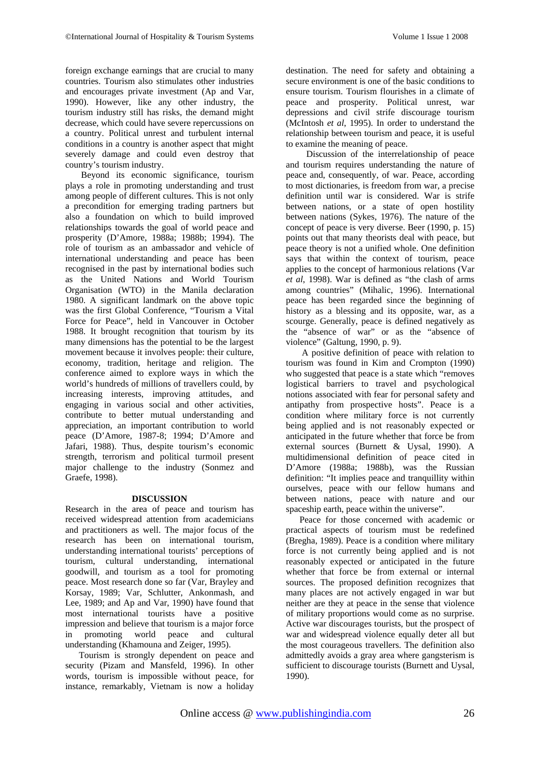foreign exchange earnings that are crucial to many countries. Tourism also stimulates other industries and encourages private investment (Ap and Var, 1990). However, like any other industry, the tourism industry still has risks, the demand might decrease, which could have severe repercussions on a country. Political unrest and turbulent internal conditions in a country is another aspect that might severely damage and could even destroy that country's tourism industry.

Beyond its economic significance, tourism plays a role in promoting understanding and trust among people of different cultures. This is not only a precondition for emerging trading partners but also a foundation on which to build improved relationships towards the goal of world peace and prosperity (D'Amore, 1988a; 1988b; 1994). The role of tourism as an ambassador and vehicle of international understanding and peace has been recognised in the past by international bodies such as the United Nations and World Tourism Organisation (WTO) in the Manila declaration 1980. A significant landmark on the above topic was the first Global Conference, "Tourism a Vital Force for Peace", held in Vancouver in October 1988. It brought recognition that tourism by its many dimensions has the potential to be the largest movement because it involves people: their culture, economy, tradition, heritage and religion. The conference aimed to explore ways in which the world's hundreds of millions of travellers could, by increasing interests, improving attitudes, and engaging in various social and other activities, contribute to better mutual understanding and appreciation, an important contribution to world peace (D'Amore, 1987-8; 1994; D'Amore and Jafari, 1988). Thus, despite tourism's economic strength, terrorism and political turmoil present major challenge to the industry (Sonmez and Graefe, 1998).

### **DISCUSSION**

Research in the area of peace and tourism has received widespread attention from academicians and practitioners as well. The major focus of the research has been on international tourism, understanding international tourists' perceptions of tourism, cultural understanding, international goodwill, and tourism as a tool for promoting peace. Most research done so far (Var, Brayley and Korsay, 1989; Var, Schlutter, Ankonmash, and Lee, 1989; and Ap and Var, 1990) have found that most international tourists have a positive impression and believe that tourism is a major force in promoting world peace and cultural understanding (Khamouna and Zeiger, 1995).

Tourism is strongly dependent on peace and security (Pizam and Mansfeld, 1996). In other words, tourism is impossible without peace, for instance, remarkably, Vietnam is now a holiday

destination. The need for safety and obtaining a secure environment is one of the basic conditions to ensure tourism. Tourism flourishes in a climate of peace and prosperity. Political unrest, war depressions and civil strife discourage tourism (McIntosh *et al*, 1995). In order to understand the relationship between tourism and peace, it is useful to examine the meaning of peace.

 Discussion of the interrelationship of peace and tourism requires understanding the nature of peace and, consequently, of war. Peace, according to most dictionaries, is freedom from war, a precise definition until war is considered. War is strife between nations, or a state of open hostility between nations (Sykes, 1976). The nature of the concept of peace is very diverse. Beer (1990, p. 15) points out that many theorists deal with peace, but peace theory is not a unified whole. One definition says that within the context of tourism, peace applies to the concept of harmonious relations (Var *et al*, 1998). War is defined as "the clash of arms among countries" (Mihalic, 1996). International peace has been regarded since the beginning of history as a blessing and its opposite, war, as a scourge. Generally, peace is defined negatively as the "absence of war" or as the "absence of violence" (Galtung, 1990, p. 9).

A positive definition of peace with relation to tourism was found in Kim and Crompton (1990) who suggested that peace is a state which "removes" logistical barriers to travel and psychological notions associated with fear for personal safety and antipathy from prospective hosts". Peace is a condition where military force is not currently being applied and is not reasonably expected or anticipated in the future whether that force be from external sources (Burnett & Uysal, 1990). A multidimensional definition of peace cited in D'Amore (1988a; 1988b), was the Russian definition: "It implies peace and tranquillity within ourselves, peace with our fellow humans and between nations, peace with nature and our spaceship earth, peace within the universe".

Peace for those concerned with academic or practical aspects of tourism must be redefined (Bregha, 1989). Peace is a condition where military force is not currently being applied and is not reasonably expected or anticipated in the future whether that force be from external or internal sources. The proposed definition recognizes that many places are not actively engaged in war but neither are they at peace in the sense that violence of military proportions would come as no surprise. Active war discourages tourists, but the prospect of war and widespread violence equally deter all but the most courageous travellers. The definition also admittedly avoids a gray area where gangsterism is sufficient to discourage tourists (Burnett and Uysal, 1990).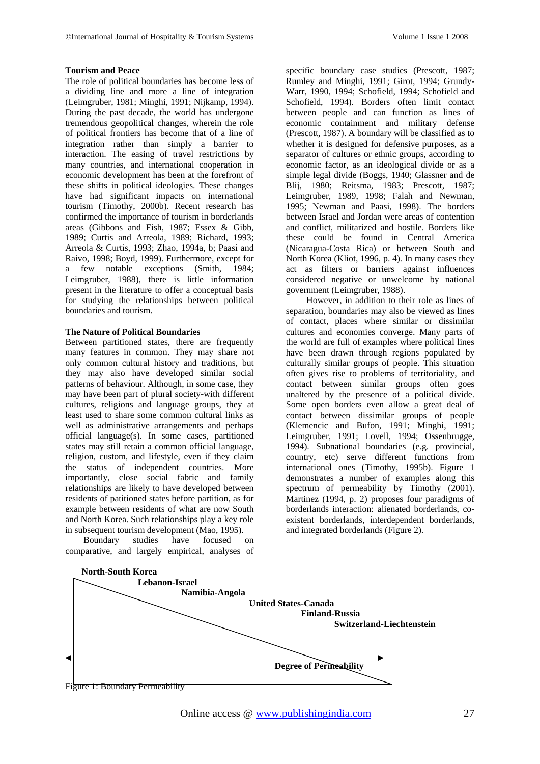#### **Tourism and Peace**

The role of political boundaries has become less of a dividing line and more a line of integration (Leimgruber, 1981; Minghi, 1991; Nijkamp, 1994). During the past decade, the world has undergone tremendous geopolitical changes, wherein the role of political frontiers has become that of a line of integration rather than simply a barrier to interaction. The easing of travel restrictions by many countries, and international cooperation in economic development has been at the forefront of these shifts in political ideologies. These changes have had significant impacts on international tourism (Timothy, 2000b). Recent research has confirmed the importance of tourism in borderlands areas (Gibbons and Fish, 1987; Essex & Gibb, 1989; Curtis and Arreola, 1989; Richard, 1993; Arreola & Curtis, 1993; Zhao, 1994a, b; Paasi and Raivo, 1998; Boyd, 1999). Furthermore, except for a few notable exceptions (Smith, 1984; Leimgruber, 1988), there is little information present in the literature to offer a conceptual basis for studying the relationships between political boundaries and tourism.

#### **The Nature of Political Boundaries**

Between partitioned states, there are frequently many features in common. They may share not only common cultural history and traditions, but they may also have developed similar social patterns of behaviour. Although, in some case, they may have been part of plural society-with different cultures, religions and language groups, they at least used to share some common cultural links as well as administrative arrangements and perhaps official language(s). In some cases, partitioned states may still retain a common official language, religion, custom, and lifestyle, even if they claim the status of independent countries. More importantly, close social fabric and family relationships are likely to have developed between residents of patitioned states before partition, as for example between residents of what are now South and North Korea. Such relationships play a key role in subsequent tourism development (Mao, 1995).<br>Boundary studies have focused

 Boundary studies have focused on comparative, and largely empirical, analyses of

specific boundary case studies (Prescott, 1987; Rumley and Minghi, 1991; Girot, 1994; Grundy-Warr, 1990, 1994; Schofield, 1994; Schofield and Schofield, 1994). Borders often limit contact between people and can function as lines of economic containment and military defense (Prescott, 1987). A boundary will be classified as to whether it is designed for defensive purposes, as a separator of cultures or ethnic groups, according to economic factor, as an ideological divide or as a simple legal divide (Boggs, 1940; Glassner and de Blij, 1980; Reitsma, 1983; Prescott, 1987; Leimgruber, 1989, 1998; Falah and Newman, 1995; Newman and Paasi, 1998). The borders between Israel and Jordan were areas of contention and conflict, militarized and hostile. Borders like these could be found in Central America (Nicaragua-Costa Rica) or between South and North Korea (Kliot, 1996, p. 4). In many cases they act as filters or barriers against influences considered negative or unwelcome by national government (Leimgruber, 1988).

 However, in addition to their role as lines of separation, boundaries may also be viewed as lines of contact, places where similar or dissimilar cultures and economies converge. Many parts of the world are full of examples where political lines have been drawn through regions populated by culturally similar groups of people. This situation often gives rise to problems of territoriality, and contact between similar groups often goes unaltered by the presence of a political divide. Some open borders even allow a great deal of contact between dissimilar groups of people (Klemencic and Bufon, 1991; Minghi, 1991; Leimgruber, 1991; Lovell, 1994; Ossenbrugge, 1994). Subnational boundaries (e.g. provincial, country, etc) serve different functions from international ones (Timothy, 1995b). Figure 1 demonstrates a number of examples along this spectrum of permeability by Timothy (2001). Martinez (1994, p. 2) proposes four paradigms of borderlands interaction: alienated borderlands, coexistent borderlands, interdependent borderlands, and integrated borderlands (Figure 2).

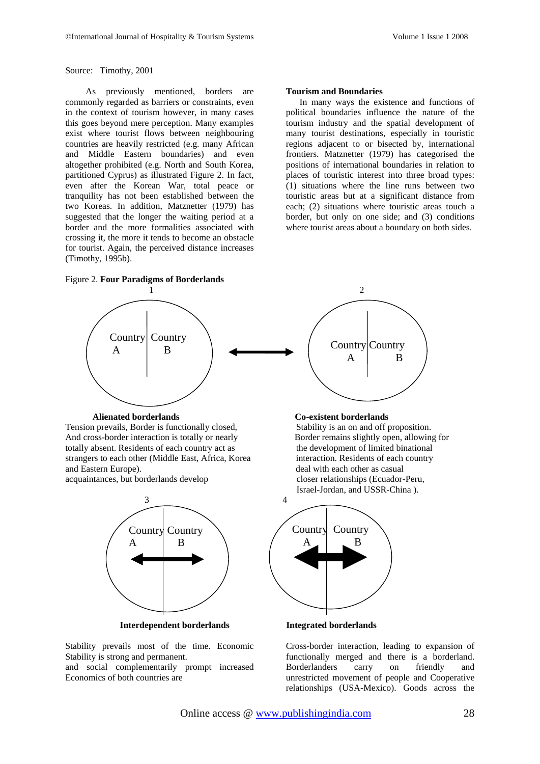Source: Timothy, 2001

 As previously mentioned, borders are commonly regarded as barriers or constraints, even in the context of tourism however, in many cases this goes beyond mere perception. Many examples exist where tourist flows between neighbouring countries are heavily restricted (e.g. many African and Middle Eastern boundaries) and even altogether prohibited (e.g. North and South Korea, partitioned Cyprus) as illustrated Figure 2. In fact, even after the Korean War, total peace or tranquility has not been established between the two Koreas. In addition, Matznetter (1979) has suggested that the longer the waiting period at a border and the more formalities associated with crossing it, the more it tends to become an obstacle for tourist. Again, the perceived distance increases (Timothy, 1995b).

#### **Tourism and Boundaries**

In many ways the existence and functions of political boundaries influence the nature of the tourism industry and the spatial development of many tourist destinations, especially in touristic regions adjacent to or bisected by, international frontiers. Matznetter (1979) has categorised the positions of international boundaries in relation to places of touristic interest into three broad types: (1) situations where the line runs between two touristic areas but at a significant distance from each; (2) situations where touristic areas touch a border, but only on one side; and (3) conditions where tourist areas about a boundary on both sides.



 **Interdependent borderlands Integrated borderlands**

Stability prevails most of the time. Economic Stability is strong and permanent.

and social complementarily prompt increased Economics of both countries are

Cross-border interaction, leading to expansion of functionally merged and there is a borderland. Borderlanders carry on friendly and unrestricted movement of people and Cooperative relationships (USA-Mexico). Goods across the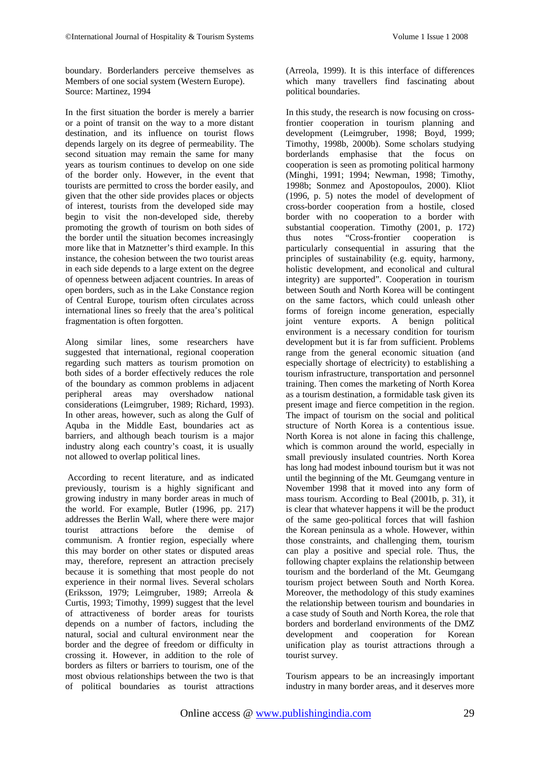boundary. Borderlanders perceive themselves as Members of one social system (Western Europe). Source: Martinez, 1994

In the first situation the border is merely a barrier or a point of transit on the way to a more distant destination, and its influence on tourist flows depends largely on its degree of permeability. The second situation may remain the same for many years as tourism continues to develop on one side of the border only. However, in the event that tourists are permitted to cross the border easily, and given that the other side provides places or objects of interest, tourists from the developed side may begin to visit the non-developed side, thereby promoting the growth of tourism on both sides of the border until the situation becomes increasingly more like that in Matznetter's third example. In this instance, the cohesion between the two tourist areas in each side depends to a large extent on the degree of openness between adjacent countries. In areas of open borders, such as in the Lake Constance region of Central Europe, tourism often circulates across international lines so freely that the area's political fragmentation is often forgotten.

Along similar lines, some researchers have suggested that international, regional cooperation regarding such matters as tourism promotion on both sides of a border effectively reduces the role of the boundary as common problems in adjacent peripheral areas may overshadow national considerations (Leimgruber, 1989; Richard, 1993). In other areas, however, such as along the Gulf of Aquba in the Middle East, boundaries act as barriers, and although beach tourism is a major industry along each country's coast, it is usually not allowed to overlap political lines.

According to recent literature, and as indicated previously, tourism is a highly significant and growing industry in many border areas in much of the world. For example, Butler (1996, pp. 217) addresses the Berlin Wall, where there were major<br>tourist attractions before the demise of tourist attractions before the demise of communism. A frontier region, especially where this may border on other states or disputed areas may, therefore, represent an attraction precisely because it is something that most people do not experience in their normal lives. Several scholars (Eriksson, 1979; Leimgruber, 1989; Arreola & Curtis, 1993; Timothy, 1999) suggest that the level of attractiveness of border areas for tourists depends on a number of factors, including the natural, social and cultural environment near the border and the degree of freedom or difficulty in crossing it. However, in addition to the role of borders as filters or barriers to tourism, one of the most obvious relationships between the two is that of political boundaries as tourist attractions

(Arreola, 1999). It is this interface of differences which many travellers find fascinating about political boundaries.

In this study, the research is now focusing on crossfrontier cooperation in tourism planning and development (Leimgruber, 1998; Boyd, 1999; Timothy, 1998b, 2000b). Some scholars studying borderlands emphasise that the focus on cooperation is seen as promoting political harmony (Minghi, 1991; 1994; Newman, 1998; Timothy, 1998b; Sonmez and Apostopoulos, 2000). Kliot (1996, p. 5) notes the model of development of cross-border cooperation from a hostile, closed border with no cooperation to a border with substantial cooperation. Timothy (2001, p. 172) thus notes "Cross-frontier cooperation is particularly consequential in assuring that the principles of sustainability (e.g. equity, harmony, holistic development, and econolical and cultural integrity) are supported". Cooperation in tourism between South and North Korea will be contingent on the same factors, which could unleash other forms of foreign income generation, especially joint venture exports. A benign political environment is a necessary condition for tourism development but it is far from sufficient. Problems range from the general economic situation (and especially shortage of electricity) to establishing a tourism infrastructure, transportation and personnel training. Then comes the marketing of North Korea as a tourism destination, a formidable task given its present image and fierce competition in the region. The impact of tourism on the social and political structure of North Korea is a contentious issue. North Korea is not alone in facing this challenge, which is common around the world, especially in small previously insulated countries. North Korea has long had modest inbound tourism but it was not until the beginning of the Mt. Geumgang venture in November 1998 that it moved into any form of mass tourism. According to Beal (2001b, p. 31), it is clear that whatever happens it will be the product of the same geo-political forces that will fashion the Korean peninsula as a whole. However, within those constraints, and challenging them, tourism can play a positive and special role. Thus, the following chapter explains the relationship between tourism and the borderland of the Mt. Geumgang tourism project between South and North Korea. Moreover, the methodology of this study examines the relationship between tourism and boundaries in a case study of South and North Korea, the role that borders and borderland environments of the DMZ development and cooperation for Korean unification play as tourist attractions through a tourist survey.

Tourism appears to be an increasingly important industry in many border areas, and it deserves more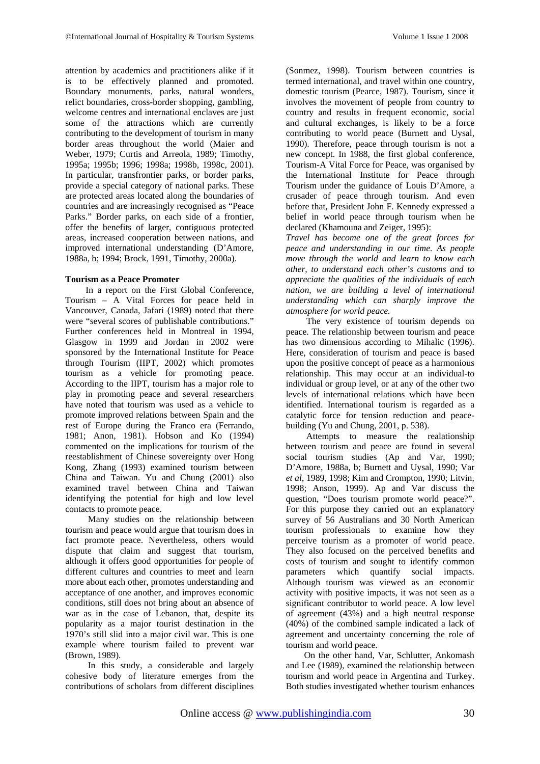attention by academics and practitioners alike if it is to be effectively planned and promoted. Boundary monuments, parks, natural wonders, relict boundaries, cross-border shopping, gambling, welcome centres and international enclaves are just some of the attractions which are currently contributing to the development of tourism in many border areas throughout the world (Maier and Weber, 1979; Curtis and Arreola, 1989; Timothy, 1995a; 1995b; 1996; 1998a; 1998b, 1998c, 2001). In particular, transfrontier parks, or border parks, provide a special category of national parks. These are protected areas located along the boundaries of countries and are increasingly recognised as "Peace Parks." Border parks, on each side of a frontier, offer the benefits of larger, contiguous protected areas, increased cooperation between nations, and improved international understanding (D'Amore, 1988a, b; 1994; Brock, 1991, Timothy, 2000a).

### **Tourism as a Peace Promoter**

 In a report on the First Global Conference, Tourism – A Vital Forces for peace held in Vancouver, Canada, Jafari (1989) noted that there were "several scores of publishable contributions." Further conferences held in Montreal in 1994, Glasgow in 1999 and Jordan in 2002 were sponsored by the International Institute for Peace through Tourism (IIPT, 2002) which promotes tourism as a vehicle for promoting peace. According to the IIPT, tourism has a major role to play in promoting peace and several researchers have noted that tourism was used as a vehicle to promote improved relations between Spain and the rest of Europe during the Franco era (Ferrando, 1981; Anon, 1981). Hobson and Ko (1994) commented on the implications for tourism of the reestablishment of Chinese sovereignty over Hong Kong, Zhang (1993) examined tourism between China and Taiwan. Yu and Chung (2001) also examined travel between China and Taiwan identifying the potential for high and low level contacts to promote peace.

 Many studies on the relationship between tourism and peace would argue that tourism does in fact promote peace. Nevertheless, others would dispute that claim and suggest that tourism, although it offers good opportunities for people of different cultures and countries to meet and learn more about each other, promotes understanding and acceptance of one another, and improves economic conditions, still does not bring about an absence of war as in the case of Lebanon, that, despite its popularity as a major tourist destination in the 1970's still slid into a major civil war. This is one example where tourism failed to prevent war (Brown, 1989).

 In this study, a considerable and largely cohesive body of literature emerges from the contributions of scholars from different disciplines

(Sonmez, 1998). Tourism between countries is termed international, and travel within one country, domestic tourism (Pearce, 1987). Tourism, since it involves the movement of people from country to country and results in frequent economic, social and cultural exchanges, is likely to be a force contributing to world peace (Burnett and Uysal, 1990). Therefore, peace through tourism is not a new concept. In 1988, the first global conference, Tourism-A Vital Force for Peace, was organised by the International Institute for Peace through Tourism under the guidance of Louis D'Amore, a crusader of peace through tourism. And even before that, President John F. Kennedy expressed a belief in world peace through tourism when he declared (Khamouna and Zeiger, 1995):

*Travel has become one of the great forces for peace and understanding in our time. As people move through the world and learn to know each other, to understand each other's customs and to appreciate the qualities of the individuals of each nation, we are building a level of international understanding which can sharply improve the atmosphere for world peace.*

 The very existence of tourism depends on peace. The relationship between tourism and peace has two dimensions according to Mihalic (1996). Here, consideration of tourism and peace is based upon the positive concept of peace as a harmonious relationship. This may occur at an individual-to individual or group level, or at any of the other two levels of international relations which have been identified. International tourism is regarded as a catalytic force for tension reduction and peacebuilding (Yu and Chung, 2001, p. 538).

 Attempts to measure the realationship between tourism and peace are found in several social tourism studies (Ap and Var, 1990; D'Amore, 1988a, b; Burnett and Uysal, 1990; Var *et al*, 1989, 1998; Kim and Crompton, 1990; Litvin, 1998; Anson, 1999). Ap and Var discuss the question, "Does tourism promote world peace?". For this purpose they carried out an explanatory survey of 56 Australians and 30 North American tourism professionals to examine how they perceive tourism as a promoter of world peace. They also focused on the perceived benefits and costs of tourism and sought to identify common parameters which quantify social impacts. Although tourism was viewed as an economic activity with positive impacts, it was not seen as a significant contributor to world peace. A low level of agreement (43%) and a high neutral response (40%) of the combined sample indicated a lack of agreement and uncertainty concerning the role of tourism and world peace.

 On the other hand, Var, Schlutter, Ankomash and Lee (1989), examined the relationship between tourism and world peace in Argentina and Turkey. Both studies investigated whether tourism enhances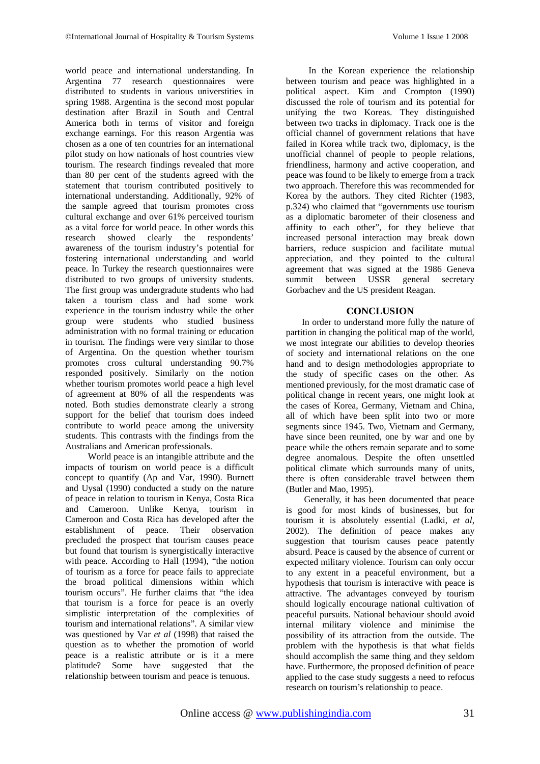world peace and international understanding. In Argentina 77 research questionnaires were distributed to students in various universtities in spring 1988. Argentina is the second most popular destination after Brazil in South and Central America both in terms of visitor and foreign exchange earnings. For this reason Argentia was chosen as a one of ten countries for an international pilot study on how nationals of host countries view tourism. The research findings revealed that more than 80 per cent of the students agreed with the statement that tourism contributed positively to international understanding. Additionally, 92% of the sample agreed that tourism promotes cross cultural exchange and over 61% perceived tourism as a vital force for world peace. In other words this research showed clearly the respondents' awareness of the tourism industry's potential for fostering international understanding and world peace. In Turkey the research questionnaires were distributed to two groups of university students. The first group was undergradute students who had taken a tourism class and had some work experience in the tourism industry while the other group were students who studied business administration with no formal training or education in tourism. The findings were very similar to those of Argentina. On the question whether tourism promotes cross cultural understanding 90.7% responded positively. Similarly on the notion whether tourism promotes world peace a high level of agreement at 80% of all the respendents was noted. Both studies demonstrate clearly a strong support for the belief that tourism does indeed contribute to world peace among the university students. This contrasts with the findings from the Australians and American professionals.

 World peace is an intangible attribute and the impacts of tourism on world peace is a difficult concept to quantify (Ap and Var, 1990). Burnett and Uysal (1990) conducted a study on the nature of peace in relation to tourism in Kenya, Costa Rica and Cameroon. Unlike Kenya, tourism in Cameroon and Costa Rica has developed after the establishment of peace. Their observation precluded the prospect that tourism causes peace but found that tourism is synergistically interactive with peace. According to Hall (1994), "the notion of tourism as a force for peace fails to appreciate the broad political dimensions within which tourism occurs". He further claims that "the idea that tourism is a force for peace is an overly simplistic interpretation of the complexities of tourism and international relations". A similar view was questioned by Var *et al* (1998) that raised the question as to whether the promotion of world peace is a realistic attribute or is it a mere platitude? Some have suggested that the relationship between tourism and peace is tenuous.

 In the Korean experience the relationship between tourism and peace was highlighted in a political aspect. Kim and Crompton (1990) discussed the role of tourism and its potential for unifying the two Koreas. They distinguished between two tracks in diplomacy. Track one is the official channel of government relations that have failed in Korea while track two, diplomacy, is the unofficial channel of people to people relations, friendliness, harmony and active cooperation, and peace was found to be likely to emerge from a track two approach. Therefore this was recommended for Korea by the authors. They cited Richter (1983, p.324) who claimed that "governments use tourism as a diplomatic barometer of their closeness and affinity to each other", for they believe that increased personal interaction may break down barriers, reduce suspicion and facilitate mutual appreciation, and they pointed to the cultural agreement that was signed at the 1986 Geneva summit between USSR general secretary Gorbachev and the US president Reagan.

## **CONCLUSION**

In order to understand more fully the nature of partition in changing the political map of the world, we most integrate our abilities to develop theories of society and international relations on the one hand and to design methodologies appropriate to the study of specific cases on the other. As mentioned previously, for the most dramatic case of political change in recent years, one might look at the cases of Korea, Germany, Vietnam and China, all of which have been split into two or more segments since 1945. Two, Vietnam and Germany, have since been reunited, one by war and one by peace while the others remain separate and to some degree anomalous. Despite the often unsettled political climate which surrounds many of units, there is often considerable travel between them (Butler and Mao, 1995).

 Generally, it has been documented that peace is good for most kinds of businesses, but for tourism it is absolutely essential (Ladki, *et al*, 2002). The definition of peace makes any suggestion that tourism causes peace patently absurd. Peace is caused by the absence of current or expected military violence. Tourism can only occur to any extent in a peaceful environment, but a hypothesis that tourism is interactive with peace is attractive. The advantages conveyed by tourism should logically encourage national cultivation of peaceful pursuits. National behaviour should avoid internal military violence and minimise the possibility of its attraction from the outside. The problem with the hypothesis is that what fields should accomplish the same thing and they seldom have. Furthermore, the proposed definition of peace applied to the case study suggests a need to refocus research on tourism's relationship to peace.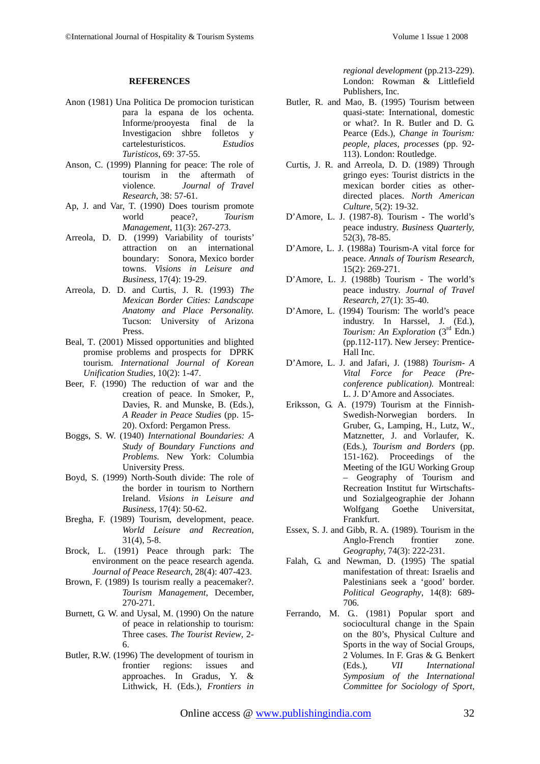#### **REFERENCES**

- Anon (1981) Una Politica De promocion turistican para la espana de los ochenta. Informe/prooyesta final de la Investigacion shbre folletos y cartelesturisticos. *Estudios Turisticos*, 69: 37-55.
- Anson, C. (1999) Planning for peace: The role of tourism in the aftermath of violence. *Journal of Travel Research*, 38: 57-61.
- Ap, J. and Var, T. (1990) Does tourism promote world peace?, *Tourism Management*, 11(3): 267-273.
- Arreola, D. D. (1999) Variability of tourists' attraction on an international boundary: Sonora, Mexico border towns. *Visions in Leisure and Business*, 17(4): 19-29.
- Arreola, D. D. and Curtis, J. R. (1993) *The Mexican Border Cities: Landscape Anatomy and Place Personality.* Tucson: University of Arizona Press.
- Beal, T. (2001) Missed opportunities and blighted promise problems and prospects for DPRK tourism. *International Journal of Korean Unification Studies*, 10(2): 1-47.
- Beer, F. (1990) The reduction of war and the creation of peace. In Smoker, P., Davies, R. and Munske, B. (Eds.), *A Reader in Peace Studies* (pp. 15- 20). Oxford: Pergamon Press.
- Boggs, S. W. (1940) *International Boundaries: A Study of Boundary Functions and Problems*. New York: Columbia University Press.
- Boyd, S. (1999) North-South divide: The role of the border in tourism to Northern Ireland. *Visions in Leisure and Business*, 17(4): 50-62.
- Bregha, F. (1989) Tourism, development, peace. *World Leisure and Recreation*, 31(4), 5-8.
- Brock, L. (1991) Peace through park: The environment on the peace research agenda. *Journal of Peace Research*, 28(4): 407-423.
- Brown, F. (1989) Is tourism really a peacemaker?. *Tourism Management*, December, 270-271.
- Burnett, G. W. and Uysal, M. (1990) On the nature of peace in relationship to tourism: Three cases. *The Tourist Review*, 2- 6.
- Butler, R.W. (1996) The development of tourism in frontier regions: issues and approaches. In Gradus, Y. & Lithwick, H. (Eds.), *Frontiers in*

*regional development* (pp.213-229). London: Rowman & Littlefield Publishers, Inc.

- Butler, R. and Mao, B. (1995) Tourism between quasi-state: International, domestic or what?. In R. Butler and D. G. Pearce (Eds.), *Change in Tourism: people, places, processes* (pp. 92- 113). London: Routledge.
- Curtis, J. R. and Arreola, D. D. (1989) Through gringo eyes: Tourist districts in the mexican border cities as otherdirected places. *North American Culture,* 5(2): 19-32.
- D'Amore, L. J. (1987-8). Tourism The world's peace industry. *Business Quarterly,*  52(3), 78-85.
- D'Amore, L. J. (1988a) Tourism-A vital force for peace. *Annals of Tourism Research,* 15(2): 269-271.
- D'Amore, L. J. (1988b) Tourism The world's peace industry. *Journal of Travel Research,* 27(1): 35-40.
- D'Amore, L. (1994) Tourism: The world's peace industry. In Harssel, J. (Ed.), *Tourism: An Exploration* (3<sup>rd</sup> Edn.) (pp.112-117). New Jersey: Prentice-Hall Inc.
- D'Amore, L. J. and Jafari, J. (1988) *Tourism- A Vital Force for Peace (Preconference publication).* Montreal: L. J. D'Amore and Associates.
- Eriksson, G. A. (1979) Tourism at the Finnish-Swedish-Norwegian borders. In Gruber, G., Lamping, H., Lutz, W., Matznetter, J. and Vorlaufer, K. (Eds.), *Tourism and Borders* (pp. 151-162). Proceedings of the Meeting of the IGU Working Group – Geography of Tourism and Recreation Institut fur Wirtschaftsund Sozialgeographie der Johann Wolfgang Goethe Universitat, Frankfurt.
- Essex, S. J. and Gibb, R. A. (1989). Tourism in the Anglo-French frontier zone. *Geography,* 74(3): 222-231.
- Falah, G. and Newman, D. (1995) The spatial manifestation of threat: Israelis and Palestinians seek a 'good' border. *Political Geography*, 14(8): 689- 706.
- Ferrando, M. G.. (1981) Popular sport and sociocultural change in the Spain on the 80's, Physical Culture and Sports in the way of Social Groups, 2 Volumes. In F. Gras & G. Benkert (Eds.), *VII International Symposium of the International Committee for Sociology of Sport*,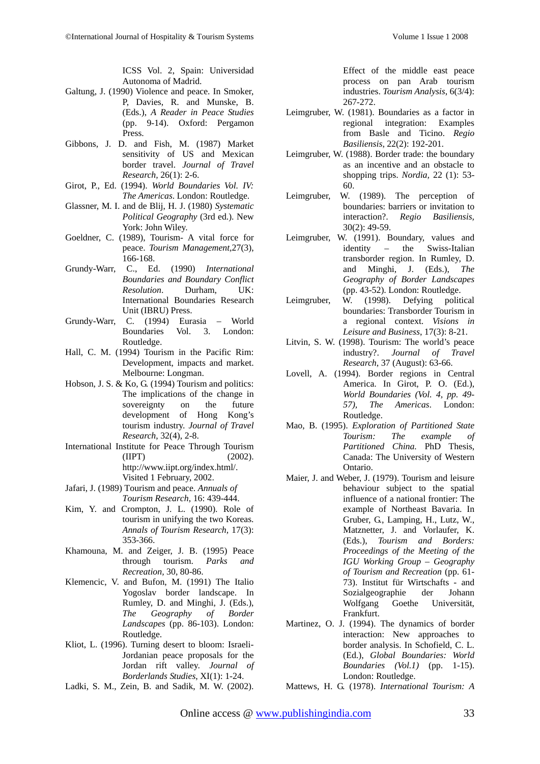ICSS Vol. 2, Spain: Universidad Autonoma of Madrid.

- Galtung, J. (1990) Violence and peace. In Smoker, P, Davies, R. and Munske, B. (Eds.), *A Reader in Peace Studies* (pp. 9-14). Oxford: Pergamon Press.
- Gibbons, J. D. and Fish, M. (1987) Market sensitivity of US and Mexican border travel. *Journal of Travel Research,* 26(1): 2-6.
- Girot, P., Ed. (1994). *World Boundaries Vol. IV: The Americas*. London: Routledge.
- Glassner, M. I. and de Blij, H. J. (1980) *Systematic Political Geography* (3rd ed.). New York: John Wiley.
- Goeldner, C. (1989), Tourism- A vital force for peace. *Tourism Management,*27(3), 166-168.
- Grundy-Warr, C., Ed. (1990) *International Boundaries and Boundary Conflict Resolution*. Durham, UK: International Boundaries Research Unit (IBRU) Press.
- Grundy-Warr, C. (1994) Eurasia World Boundaries Vol. 3. London: Routledge.
- Hall, C. M. (1994) Tourism in the Pacific Rim: Development, impacts and market. Melbourne: Longman.
- Hobson, J. S. & Ko, G. (1994) Tourism and politics: The implications of the change in sovereignty on the future development of Hong Kong's tourism industry. *Journal of Travel Research*, 32(4), 2-8.
- International Institute for Peace Through Tourism  $(IIIPT)$  (2002). http://www.iipt.org/index.html/. Visited 1 February, 2002.
- Jafari, J. (1989) Tourism and peace. *Annuals of Tourism Research*, 16: 439-444.
- Kim, Y. and Crompton, J. L. (1990). Role of tourism in unifying the two Koreas. *Annals of Tourism Research,* 17(3): 353-366.
- Khamouna, M. and Zeiger, J. B. (1995) Peace<br>through tourism. Parks and tourism. *Parks Recreation,* 30, 80-86.
- Klemencic, V. and Bufon, M. (1991) The Italio Yogoslav border landscape. In Rumley, D. and Minghi, J. (Eds.), *The Geography of Border Landscapes* (pp. 86-103). London: Routledge.
- Kliot, L. (1996). Turning desert to bloom: Israeli-Jordanian peace proposals for the Jordan rift valley. *Journal of Borderlands Studies*, XI(1): 1-24.
- Ladki, S. M., Zein, B. and Sadik, M. W. (2002).

Effect of the middle east peace process on pan Arab tourism industries. *Tourism Analysis*, 6(3/4): 267-272.

- Leimgruber, W. (1981). Boundaries as a factor in regional integration: Examples from Basle and Ticino. *Regio Basiliensis*, 22(2): 192-201.
- Leimgruber, W. (1988). Border trade: the boundary as an incentive and an obstacle to shopping trips. *Nordia,* 22 (1): 53- 60.
- Leimgruber, W. (1989). The perception of boundaries: barriers or invitation to interaction?. *Regio Basiliensis,* 30(2): 49-59.
- Leimgruber, W. (1991). Boundary, values and<br>identity the Swiss-Italian identity – the Swiss-Italian transborder region. In Rumley, D. and Minghi, J. (Eds.), *The Geography of Border Landscapes* (pp. 43-52). London: Routledge.
- Leimgruber, W. (1998). Defying political boundaries: Transborder Tourism in a regional context. *Visions in Leisure and Business*, 17(3): 8-21.
- Litvin, S. W. (1998). Tourism: The world's peace<br>industry?. Journal of Travel of *Travel Research*, 37 (August): 63-66.
- Lovell, A. (1994). Border regions in Central America. In Girot, P. O. (Ed.), *World Boundaries (Vol. 4, pp. 49- 57), The Americas*. London: Routledge.
- Mao, B. (1995). *Exploration of Partitioned State Tourism: The example of Partitioned China.* PhD Thesis, Canada: The University of Western Ontario.
- Maier, J. and Weber, J. (1979). Tourism and leisure behaviour subject to the spatial influence of a national frontier: The example of Northeast Bavaria. In Gruber, G., Lamping, H., Lutz, W., Matznetter, J. and Vorlaufer, K. (Eds.), *Tourism and Borders: Proceedings of the Meeting of the IGU Working Group – Geography of Tourism and Recreation* (pp. 61- 73). Institut für Wirtschafts - and Sozialgeographie der Johann Wolfgang Goethe Universität, Frankfurt.
- Martinez, O. J. (1994). The dynamics of border interaction: New approaches to border analysis. In Schofield, C. L. (Ed.), *Global Boundaries: World Boundaries (Vol.1)* (pp. 1-15). London: Routledge.
- Mattews, H. G. (1978). *International Tourism: A*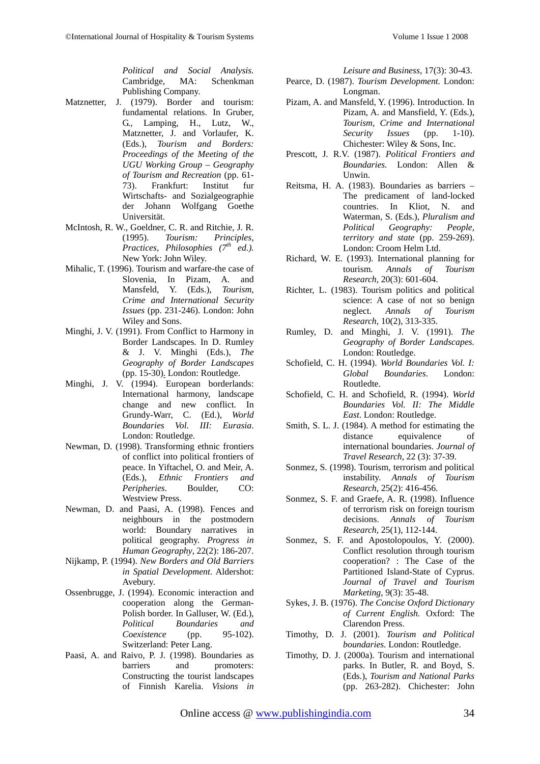*Political and Social Analysis.* Cambridge, MA: Schenkman Publishing Company.

- Matznetter, J. (1979). Border and tourism: fundamental relations. In Gruber, G., Lamping, H., Lutz, W., Matznetter, J. and Vorlaufer, K. (Eds.), *Tourism and Borders: Proceedings of the Meeting of the UGU Working Group – Geography of Tourism and Recreation* (pp. 61- 73). Frankfurt: Institut fur Wirtschafts- and Sozialgeographie der Johann Wolfgang Goethe Universität.
- McIntosh, R. W., Goeldner, C. R. and Ritchie, J. R. (1995). *Tourism: Principles, Practices, Philosophies (7th ed.).* New York: John Wiley.
- Mihalic, T. (1996). Tourism and warfare-the case of Slovenia, In Pizam, A. and Mansfeld, Y. (Eds.), *Tourism, Crime and International Security Issues* (pp. 231-246). London: John Wiley and Sons.
- Minghi, J. V. (1991). From Conflict to Harmony in Border Landscapes. In D. Rumley & J. V. Minghi (Eds.), *The Geography of Border Landscapes*  (pp. 15-30). London: Routledge.
- Minghi, J. V. (1994). European borderlands: International harmony, landscape change and new conflict. In Grundy-Warr, C. (Ed.), *World Boundaries Vol. III: Eurasia*. London: Routledge.
- Newman, D. (1998). Transforming ethnic frontiers of conflict into political frontiers of peace. In Yiftachel, O. and Meir, A. (Eds.), *Ethnic Frontiers and Peripheries*. Boulder, CO: Westview Press.
- Newman, D. and Paasi, A. (1998). Fences and neighbours in the postmodern world: Boundary narratives in political geography. *Progress in Human Geography*, 22(2): 186-207.
- Nijkamp, P. (1994). *New Borders and Old Barriers in Spatial Development*. Aldershot: Avebury.
- Ossenbrugge, J. (1994). Economic interaction and cooperation along the German-Polish border. In Galluser, W. (Ed.), *Political Boundaries and Coexistence* (pp. 95-102). Switzerland: Peter Lang.
- Paasi, A. and Raivo, P. J. (1998). Boundaries as barriers and promoters: Constructing the tourist landscapes of Finnish Karelia. *Visions in*

*Leisure and Business*, 17(3): 30-43.

- Pearce, D. (1987). *Tourism Development.* London: Longman.
- Pizam, A. and Mansfeld, Y. (1996). Introduction. In Pizam, A. and Mansfield, Y. (Eds.), *Tourism, Crime and International*   $Security$ Chichester: Wiley & Sons, Inc.
- Prescott, J. R.V. (1987). *Political Frontiers and Boundaries.* London: Allen & Unwin.
- Reitsma, H. A. (1983). Boundaries as barriers The predicament of land-locked countries. In Kliot, N. and Waterman, S. (Eds.), *Pluralism and Political Geography: People, territory and state* (pp. 259-269). London: Croom Helm Ltd.
- Richard, W. E. (1993). International planning for tourism. *Annals of Tourism Research,* 20(3): 601-604.
- Richter, L. (1983). Tourism politics and political science: A case of not so benign neglect. *Annals of Tourism Research,* 10(2), 313-335.
- Rumley, D. and Minghi, J. V. (1991). *The Geography of Border Landscapes.* London: Routledge.
- Schofield, C. H. (1994). *World Boundaries Vol. I: Global Boundaries*. London: Routledte.
- Schofield, C. H. and Schofield, R. (1994). *World Boundaries Vol. II: The Middle East*. London: Routledge.
- Smith, S. L. J. (1984). A method for estimating the distance equivalence of international boundaries. *Journal of Travel Research*, 22 (3): 37-39.
- Sonmez, S. (1998). Tourism, terrorism and political instability. *Annals of Tourism Research*, 25(2): 416-456.
- Sonmez, S. F. and Graefe, A. R. (1998). Influence of terrorism risk on foreign tourism decisions. *Annals of Tourism Research,* 25(1), 112-144.
- Sonmez, S. F. and Apostolopoulos, Y. (2000). Conflict resolution through tourism cooperation? : The Case of the Partitioned Island-State of Cyprus. *Journal of Travel and Tourism Marketing*, 9(3): 35-48.
- Sykes, J. B. (1976). *The Concise Oxford Dictionary of Current English.* Oxford: The Clarendon Press.
- Timothy, D. J. (2001). *Tourism and Political boundaries.* London: Routledge.
- Timothy, D. J. (2000a). Tourism and international parks. In Butler, R. and Boyd, S. (Eds.), *Tourism and National Parks* (pp. 263-282). Chichester: John